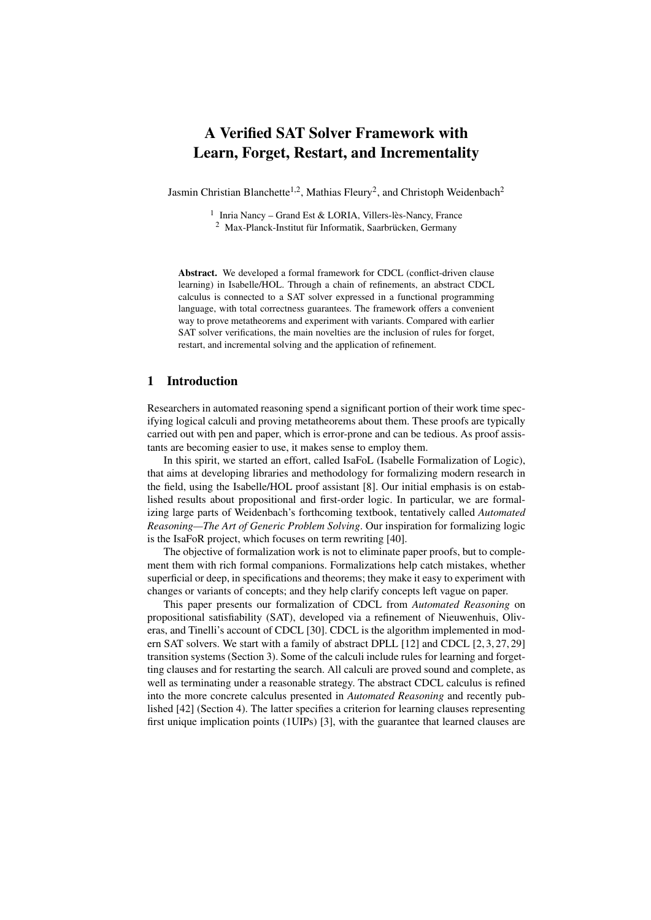# A Verified SAT Solver Framework with Learn, Forget, Restart, and Incrementality

Jasmin Christian Blanchette<sup>1,2</sup>, Mathias Fleury<sup>2</sup>, and Christoph Weidenbach<sup>2</sup>

1 Inria Nancy – Grand Est & LORIA, Villers-lès-Nancy, France <sup>2</sup> Max-Planck-Institut für Informatik, Saarbrücken, Germany

Abstract. We developed a formal framework for CDCL (conflict-driven clause learning) in Isabelle/HOL. Through a chain of refinements, an abstract CDCL calculus is connected to a SAT solver expressed in a functional programming language, with total correctness guarantees. The framework offers a convenient way to prove metatheorems and experiment with variants. Compared with earlier SAT solver verifications, the main novelties are the inclusion of rules for forget, restart, and incremental solving and the application of refinement.

# 1 Introduction

Researchers in automated reasoning spend a significant portion of their work time specifying logical calculi and proving metatheorems about them. These proofs are typically carried out with pen and paper, which is error-prone and can be tedious. As proof assistants are becoming easier to use, it makes sense to employ them.

In this spirit, we started an effort, called IsaFoL (Isabelle Formalization of Logic), that aims at developing libraries and methodology for formalizing modern research in the field, using the Isabelle/HOL proof assistant [\[8\]](#page-15-0). Our initial emphasis is on established results about propositional and first-order logic. In particular, we are formalizing large parts of Weidenbach's forthcoming textbook, tentatively called *Automated Reasoning—The Art of Generic Problem Solving*. Our inspiration for formalizing logic is the IsaFoR project, which focuses on term rewriting [\[40\]](#page-17-0).

The objective of formalization work is not to eliminate paper proofs, but to complement them with rich formal companions. Formalizations help catch mistakes, whether superficial or deep, in specifications and theorems; they make it easy to experiment with changes or variants of concepts; and they help clarify concepts left vague on paper.

This paper presents our formalization of CDCL from *Automated Reasoning* on propositional satisfiability (SAT), developed via a refinement of Nieuwenhuis, Oliveras, and Tinelli's account of CDCL [\[30\]](#page-16-0). CDCL is the algorithm implemented in modern SAT solvers. We start with a family of abstract DPLL [\[12\]](#page-16-1) and CDCL [\[2,](#page-15-1) [3,](#page-15-2) [27,](#page-16-2) [29\]](#page-16-3) transition systems (Section [3\)](#page-2-0). Some of the calculi include rules for learning and forgetting clauses and for restarting the search. All calculi are proved sound and complete, as well as terminating under a reasonable strategy. The abstract CDCL calculus is refined into the more concrete calculus presented in *Automated Reasoning* and recently published [\[42\]](#page-17-1) (Section [4\)](#page-8-0). The latter specifies a criterion for learning clauses representing first unique implication points (1UIPs) [\[3\]](#page-15-2), with the guarantee that learned clauses are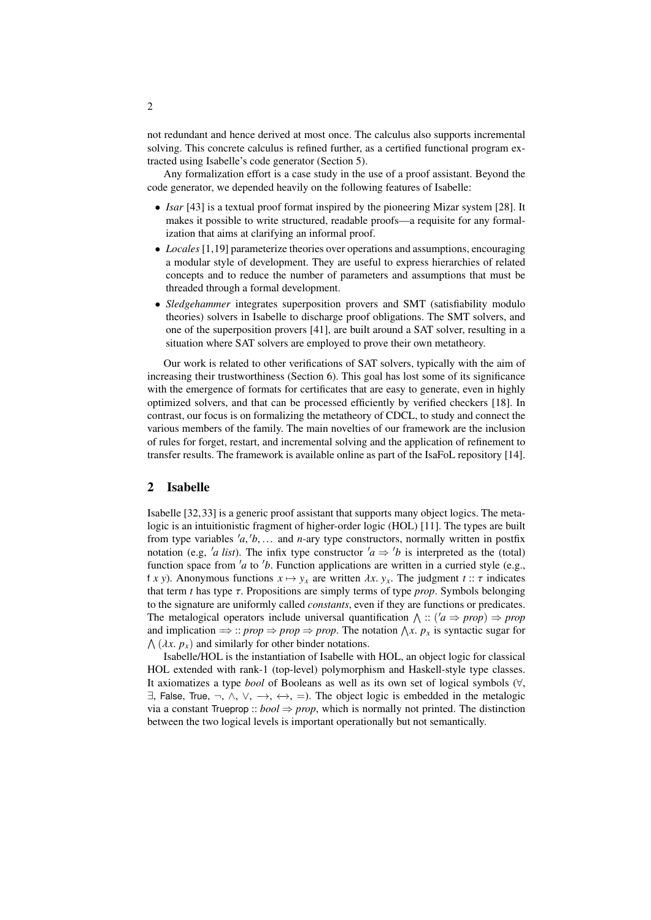not redundant and hence derived at most once. The calculus also supports incremental solving. This concrete calculus is refined further, as a certified functional program extracted using Isabelle's code generator (Section [5\)](#page-12-0).

Any formalization effort is a case study in the use of a proof assistant. Beyond the code generator, we depended heavily on the following features of Isabelle:

- *Isar* [\[43\]](#page-17-2) is a textual proof format inspired by the pioneering Mizar system [\[28\]](#page-16-4). It makes it possible to write structured, readable proofs—a requisite for any formalization that aims at clarifying an informal proof.
- *Locales* [\[1,](#page-15-3)[19\]](#page-16-5) parameterize theories over operations and assumptions, encouraging a modular style of development. They are useful to express hierarchies of related concepts and to reduce the number of parameters and assumptions that must be threaded through a formal development.
- *Sledgehammer* integrates superposition provers and SMT (satisfiability modulo theories) solvers in Isabelle to discharge proof obligations. The SMT solvers, and one of the superposition provers [\[41\]](#page-17-3), are built around a SAT solver, resulting in a situation where SAT solvers are employed to prove their own metatheory.

Our work is related to other verifications of SAT solvers, typically with the aim of increasing their trustworthiness (Section [6\)](#page-13-0). This goal has lost some of its significance with the emergence of formats for certificates that are easy to generate, even in highly optimized solvers, and that can be processed efficiently by verified checkers [\[18\]](#page-16-6). In contrast, our focus is on formalizing the metatheory of CDCL, to study and connect the various members of the family. The main novelties of our framework are the inclusion of rules for forget, restart, and incremental solving and the application of refinement to transfer results. The framework is available online as part of the IsaFoL repository [\[14\]](#page-16-7).

## 2 Isabelle

Isabelle [\[32,](#page-16-8)[33\]](#page-16-9) is a generic proof assistant that supports many object logics. The metalogic is an intuitionistic fragment of higher-order logic (HOL) [\[11\]](#page-15-4). The types are built from type variables  $a, b, \ldots$  and *n*-ary type constructors, normally written in postfix<br>notation (e.g.  $a$  list). The infix type constructor  $a \rightarrow b$  is interpreted as the (total) notation (e.g, '*a list*). The infix type constructor  $a \Rightarrow b$  is interpreted as the (total) function space from 'a to 'b. Function applications are written in a curried style (e.g., f *x* y). Anonymous functions  $x \mapsto y_x$  are written  $\lambda x$ ,  $y_x$ . The judgment  $t :: \tau$  indicates that term *<sup>t</sup>* has type τ. Propositions are simply terms of type *prop*. Symbols belonging to the signature are uniformly called *constants*, even if they are functions or predicates. The metalogical operators include universal quantification  $\wedge$  ::  $(a \Rightarrow prop) \Rightarrow prop$ and implication  $\Rightarrow$  :: *prop*  $\Rightarrow$  *prop*  $\Rightarrow$  *prop*. The notation  $\bigwedge x$ . *p<sub>x</sub>* is syntactic sugar for  $\bigwedge (3x, p)$  and similarly for other hinder notations.  $\wedge$  ( $\lambda x$ *.*  $p_x$ ) and similarly for other binder notations.<br>
Isabelle HOI is the instantiation of Isabelle with

Isabelle/HOL is the instantiation of Isabelle with HOL, an object logic for classical HOL extended with rank-1 (top-level) polymorphism and Haskell-style type classes. It axiomatizes a type *bool* of Booleans as well as its own set of logical symbols (∀,  $\exists$ , False, True,  $\neg$ ,  $\wedge$ ,  $\vee$ ,  $\rightarrow$ ,  $\leftrightarrow$ ,  $\Rightarrow$ ). The object logic is embedded in the metalogic via a constant Trueprop ::  $bool \Rightarrow prop$ , which is normally not printed. The distinction between the two logical levels is important operationally but not semantically.

2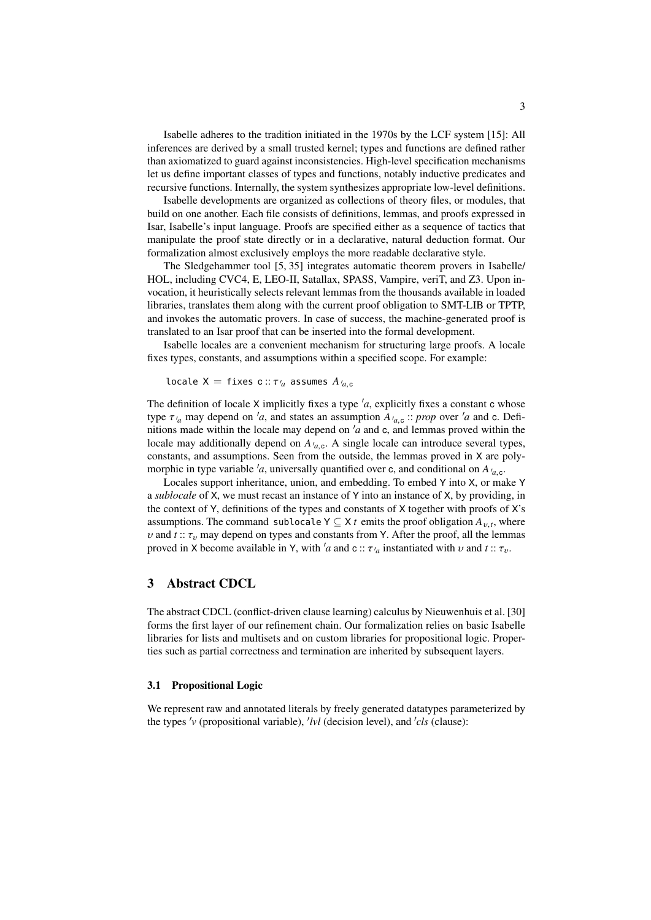Isabelle adheres to the tradition initiated in the 1970s by the LCF system [\[15\]](#page-16-10): All inferences are derived by a small trusted kernel; types and functions are defined rather than axiomatized to guard against inconsistencies. High-level specification mechanisms let us define important classes of types and functions, notably inductive predicates and recursive functions. Internally, the system synthesizes appropriate low-level definitions.

Isabelle developments are organized as collections of theory files, or modules, that build on one another. Each file consists of definitions, lemmas, and proofs expressed in Isar, Isabelle's input language. Proofs are specified either as a sequence of tactics that manipulate the proof state directly or in a declarative, natural deduction format. Our formalization almost exclusively employs the more readable declarative style.

The Sledgehammer tool [\[5,](#page-15-5) [35\]](#page-17-4) integrates automatic theorem provers in Isabelle/ HOL, including CVC4, E, LEO-II, Satallax, SPASS, Vampire, veriT, and Z3. Upon invocation, it heuristically selects relevant lemmas from the thousands available in loaded libraries, translates them along with the current proof obligation to SMT-LIB or TPTP, and invokes the automatic provers. In case of success, the machine-generated proof is translated to an Isar proof that can be inserted into the formal development.

Isabelle locales are a convenient mechanism for structuring large proofs. A locale fixes types, constants, and assumptions within a specified scope. For example:

locale  $X =$  fixes c:  $\tau_{a}$  assumes  $A_{a,c}$ 

The definition of locale X implicitly fixes a type  $a$ , explicitly fixes a constant c whose type  $\tau_{a}$  may depend on '*a*, and states an assumption  $A_{a,c}$ :: *prop* over '*a* and c. Definitions made within the locale may depend on '*a* and c. and lemmas proved within the nitions made within the locale may depend on  $'a$  and  $c$ , and lemmas proved within the locale may additionally depend on  $A_{0a,c}$ . A single locale can introduce several types, constants and assumptions. Seen from the outside the lemmas proved in  $X$  are not constants, and assumptions. Seen from the outside, the lemmas proved in X are polymorphic in type variable '*a*, universally quantified over c, and conditional on  $A_{a,c}$ .<br>Locales support inheritance, union, and embedding. To embed  $\lambda$  into  $\lambda$ , or may

Locales support inheritance, union, and embedding. To embed Y into X, or make Y a *sublocale* of X, we must recast an instance of Y into an instance of X, by providing, in the context of Y, definitions of the types and constants of X together with proofs of X's assumptions. The command sublocale  $Y \subseteq X$  *t* emits the proof obligation  $A_{v,t}$ , where  $u$  and  $t \text{ or } x$ , may denote an independent from  $Y$ . After the proof all the lammage *v* and *t* ::  $\tau_{\nu}$  may depend on types and constants from Y. After the proof, all the lemmas proved in X become available in Y, with '*a* and c ::  $\tau_{a}$  instantiated with *v* and *t* ::  $\tau_{v}$ .

# <span id="page-2-0"></span>3 Abstract CDCL

The abstract CDCL (conflict-driven clause learning) calculus by Nieuwenhuis et al. [\[30\]](#page-16-0) forms the first layer of our refinement chain. Our formalization relies on basic Isabelle libraries for lists and multisets and on custom libraries for propositional logic. Properties such as partial correctness and termination are inherited by subsequent layers.

### 3.1 Propositional Logic

We represent raw and annotated literals by freely generated datatypes parameterized by the types 'v (propositional variable), 'lvl (decision level), and 'cls (clause):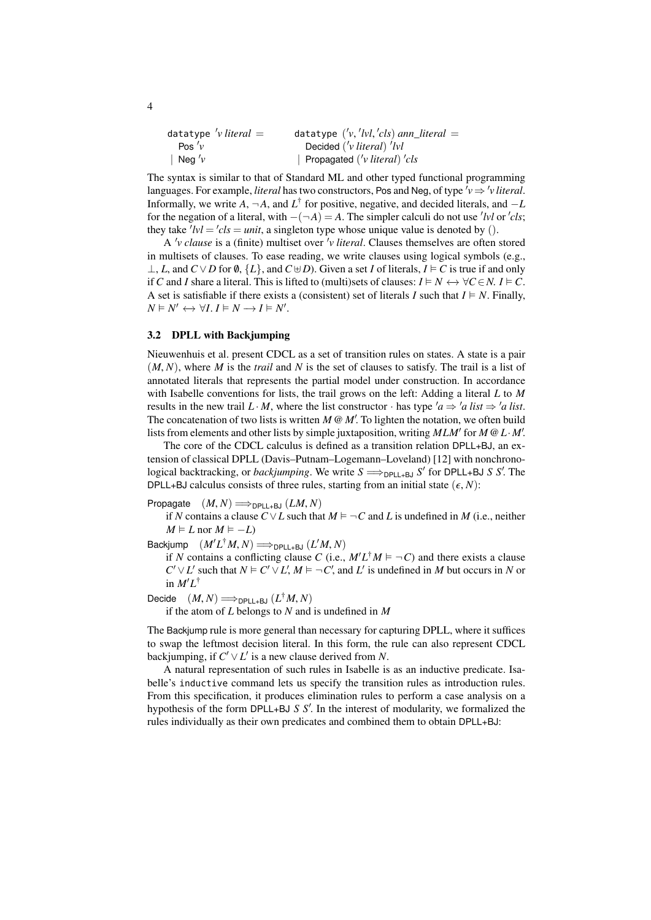| datatype 'v literal $=$                                 | datatype $('v, 'lvl, 'cls)$ ann_literal = |
|---------------------------------------------------------|-------------------------------------------|
| Pos ' $\nu$                                             | Decided ('v literal) 'lvl                 |
| $\overline{\phantom{a}}$ Neg ' $\overline{\phantom{a}}$ | $\mid$ Propagated $('v\ literal)'cls$     |

The syntax is similar to that of Standard ML and other typed functional programming languages. For example, *literal* has two constructors, Pos and Neg, of type  $\forall v \Rightarrow v$  *literal*. Informally, we write *A*,  $\neg A$ , and  $L^{\dagger}$  for positive, negative, and decided literals, and  $-L$ for the negation of a literal, with  $-(-A) = A$ . The simpler calculi do not use 'lvl or 'cls; they take  $\ell v \ell = \ell c I s = \text{unit}$ , a singleton type whose unique value is denoted by ().

A 'v clause is a (finite) multiset over 'v literal. Clauses themselves are often stored in multisets of clauses. To ease reading, we write clauses using logical symbols (e.g., ⊥, *L*, and  $C \vee D$  for  $\emptyset$ , {*L*}, and  $C \oplus D$ ). Given a set *I* of literals, *I*  $\models C$  is true if and only if *C* and *I* share a literal. This is lifted to (multi)sets of clauses:  $I \models N \leftrightarrow \forall C \in N$ .  $I \models C$ . A set is satisfiable if there exists a (consistent) set of literals *I* such that  $I \models N$ . Finally,  $N \vDash N' \leftrightarrow \forall I$ .  $I \vDash N \rightarrow I \vDash N'$ .

#### 3.2 DPLL with Backjumping

Nieuwenhuis et al. present CDCL as a set of transition rules on states. A state is a pair (*M*, *<sup>N</sup>*), where *<sup>M</sup>* is the *trail* and *<sup>N</sup>* is the set of clauses to satisfy. The trail is a list of annotated literals that represents the partial model under construction. In accordance with Isabelle conventions for lists, the trail grows on the left: Adding a literal *L* to *M* results in the new trail  $L \cdot M$ , where the list constructor  $\cdot$  has type  $a \Rightarrow a$  *list*.  $\Rightarrow a$  *list*. The concatenation of two lists is written  $M \& M'$ . To lighten the notation, we often build lists from elements and other lists by simple juxtaposition, writing  $MLM'$  for  $M @ L M'$ .

The core of the CDCL calculus is defined as a transition relation DPLL+BJ, an extension of classical DPLL (Davis–Putnam–Logemann–Loveland) [\[12\]](#page-16-1) with nonchronological backtracking, or *backjumping*. We write *S* ⇒<sub>DPLL+BJ</sub> *S'* for DPLL+BJ *S S'*. The DPLL+BJ calculus consists of three rules, starting from an initial state  $(\epsilon, N)$ :

Propagate  $(M, N) \Longrightarrow_{DPLL+BJ} (LM, N)$ 

if *N* contains a clause  $C \vee L$  such that  $M \models \neg C$  and *L* is undefined in *M* (i.e., neither  $M \models L$  nor  $M \models -L$ )

 $Backjump$   $(M'L^{\dagger}M, N) \Longrightarrow_{DPLL+BJ} (L'M, N)$ <br> *if N* contains a conflicting clause *C* (*i.e.* 

if *N* contains a conflicting clause *C* (i.e.,  $M'L^{\dagger}M \models \neg C$ ) and there exists a clause  $C' \vee L'$  such that  $N \vDash C' \vee L'$ ,  $M \vDash \neg C'$ , and  $L'$  is undefined in *M* but occurs in *N* or in  $M'L^{\dagger}$ 

Decide  $(M, N) \Longrightarrow_{DPLL+BJ} (L^{\dagger}M, N)$ <br>if the atom of *L* belongs to *N* and

if the atom of *L* belongs to *N* and is undefined in *M*

The Backjump rule is more general than necessary for capturing DPLL, where it suffices to swap the leftmost decision literal. In this form, the rule can also represent CDCL backjumping, if  $C' \vee L'$  is a new clause derived from N.

A natural representation of such rules in Isabelle is as an inductive predicate. Isabelle's inductive command lets us specify the transition rules as introduction rules. From this specification, it produces elimination rules to perform a case analysis on a hypothesis of the form DPLL+BJ *S S'*. In the interest of modularity, we formalized the rules individually as their own predicates and combined them to obtain DPLL+BJ:

4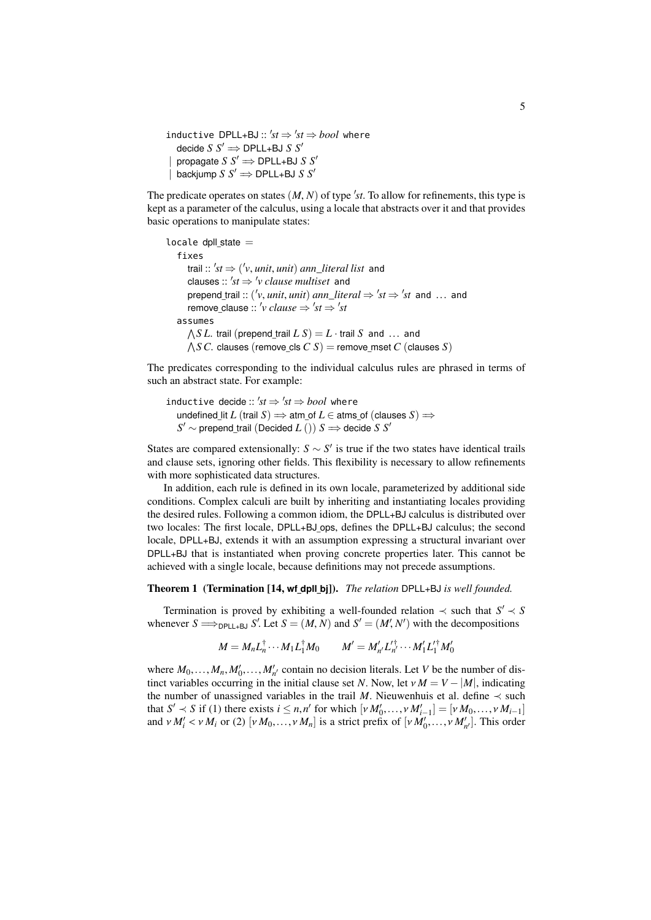```
inductive DPLL+BJ :: 'st \Rightarrow 'st \Rightarrow bool where
  decide S S' \Rightarrow DPLL+BJ S S'propagate S S' \Rightarrow DPLL+BJ S S'\overline{\phantom{a}} backjump S S' \Rightarrow DPLL+BJ S S'
```
The predicate operates on states  $(M, N)$  of type 'st. To allow for refinements, this type is<br>kent as a parameter of the calculus, using a locale that abstracts over it and that provides kept as a parameter of the calculus, using a locale that abstracts over it and that provides basic operations to manipulate states:

```
locale dpll state =fixes
          trail :: 'st \Rightarrow ('v, unit, unit) ann_literal list and<br>clauses :: 'st \Rightarrow 'v clause multiset and
          \textsf{clauses} :: \textit{'st} \Rightarrow \textit{'v clause multiset} and
          prepend_trail :: ('v, unit, unit) ann_literal \Rightarrow 'st \Rightarrow 'st and ... and remove clause :: 'v clause \Rightarrow 'st \Rightarrow 'st\mathit{remove\_clause} :: \mathit{'v} \mathit{clause} \Rightarrow \mathit{'st} \Rightarrow \mathit{'}stassumes
          \bigwedge SL. trail (prepend_trail LS) = L · trail S and ... and \bigwedge SC clauses (remove cls CS) — remove mset C (cla
          \bigwedgeSC. clauses (remove_cls C S) = remove_mset C (clauses S)
```
The predicates corresponding to the individual calculus rules are phrased in terms of such an abstract state. For example:

inductive decide::' $\mathit{^{\prime}st} \Rightarrow \mathit{^{\prime}st} \Rightarrow bool$  where undefined\_lit  $L$  (trail  $S$ )  $\Rightarrow$  atm\_of  $L \in$  atms\_of (clauses  $S$ )  $\Rightarrow$  $S'$  ∼ prepend\_trail (Decided  $L$  ())  $S$   $\Rightarrow$  decide *S S*<sup>0</sup>

States are compared extensionally:  $S \sim S'$  is true if the two states have identical trails and clause sets, ignoring other fields. This flexibility is necessary to allow refinements with more sophisticated data structures.

In addition, each rule is defined in its own locale, parameterized by additional side conditions. Complex calculi are built by inheriting and instantiating locales providing the desired rules. Following a common idiom, the DPLL+BJ calculus is distributed over two locales: The first locale, DPLL+BJ\_ops , defines the DPLL+BJ calculus; the second locale, DPLL+BJ, extends it with an assumption expressing a structural invariant over DPLL+BJ that is instantiated when proving concrete properties later. This cannot be achieved with a single locale, because definitions may not precede assumptions.

<span id="page-4-0"></span>Theorem 1 (Termination [\[14,](#page-16-7) **wf\_dpll\_ bj** ]). *The relation* DPLL+BJ *is well founded.*

Termination is proved by exhibiting a well-founded relation  $\prec$  such that  $S' \prec S$ whenever  $S \implies_{\text{DPLL+BJ}} S'$ . Let  $S = (M, N)$  and  $S' = (M', N')$  with the decompositions

$$
M = M_n L_n^{\dagger} \cdots M_1 L_1^{\dagger} M_0 \qquad M' = M'_{n'} L'^{\dagger}_{n'} \cdots M'_1 L_1'^{\dagger} M'_0
$$

where  $M_0, \ldots, M_n, M'_0, \ldots, M'_{n'}$  contain no decision literals. Let *V* be the number of distinct variables occurring in the initial clause set *N*. Now let  $v M - V - |M|$  indicating tinct variables occurring in the initial clause set *N*. Now, let  $v M = V - |M|$ , indicating the number of unassigned variables in the trail *M*. Nieuwenhuis et al. define  $\prec$  such that  $S' \prec S$  if (1) there exists  $i \leq n, n'$  for which  $[\nu M'_0, \dots, \nu M'_{i-1}] = [\nu M_0, \dots, \nu M_{i-1}]$ <br>and  $\nu M' \prec \nu M$  or (2)  $[\nu M_0, \dots, \nu M_{i-1}]$  is a strict prefix of  $[\nu M' \dots \nu M' + \nu M_{i-1}]$ and  $v M'_i < v M_i$  or (2)  $[v M_0, \ldots, v M_n]$  is a strict prefix of  $[v M'_0, \ldots, v M'_{n'}]$ . This order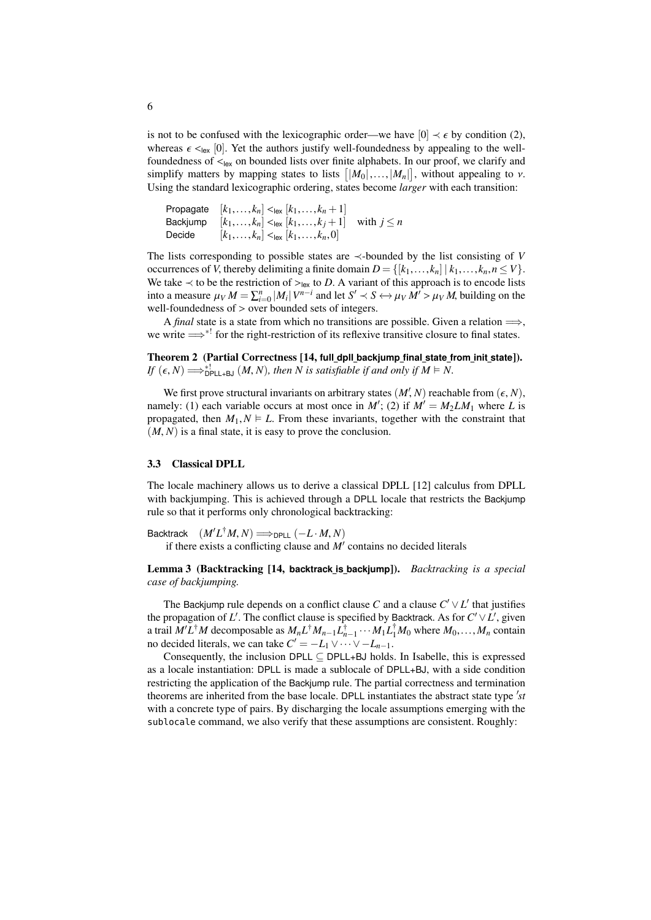is not to be confused with the lexicographic order—we have [0]  $\prec \epsilon$  by condition (2), whereas  $\epsilon \leq_{\text{lex}} [0]$ . Yet the authors justify well-foundedness by appealing to the wellfoundedness of  $\lt_{lex}$  on bounded lists over finite alphabets. In our proof, we clarify and simplify matters by mapping states to lists  $[|M_0|, ..., |M_n|]$ , without appealing to *v*.<br>Using the standard lexicographic ordering, states become *larger* with each transition. Using the standard lexicographic ordering, states become *larger* with each transition:

```
Propagate [k_1, ..., k_n] <_{\text{lex}} [k_1, ..., k_n + 1]<br>Backjump [k_1, ..., k_n] <_{\text{lex}} [k_1, ..., k_i + 1]Backjump [k_1, \ldots, k_n] <sub>|c|</sub> [k_1, \ldots, k_j + 1] with j \le n<br>Decide [k_1, \ldots, k_{j}] <sub>|c|</sub> [k_1, \ldots, k_{j}]Decide [k_1, ..., k_n] <_{\text{lex}} [k_1, ..., k_n, 0]
```
The lists corresponding to possible states are  $\prec$ -bounded by the list consisting of *V* occurrences of *V*, thereby delimiting a finite domain  $D = \{[k_1, \ldots, k_n] | k_1, \ldots, k_n, n \le V\}$ . We take  $\prec$  to be the restriction of  $>_{lex}$  to *D*. A variant of this approach is to encode lists into a measure  $\mu_V M = \sum_{i=0}^n |M_i| V^{n-i}$  and let  $S' \prec S \leftrightarrow \mu_V M' > \mu_V M$ , building on the well-foundedness of  $\gt$  over bounded sets of integers well-foundedness of > over bounded sets of integers.

A *final* state is a state from which no transitions are possible. Given a relation  $\Longrightarrow$ , we write  $\Longrightarrow^*!$  for the right-restriction of its reflexive transitive closure to final states.

Theorem 2 (Partial Correctness [\[14,](#page-16-7) **full\_dpll\_ backjump\_ final\_ state\_ from\_ init\_ state** ]).  $\mathcal{L}f(\epsilon, N) \Longrightarrow_{\text{DPLL+BJ}}^{\ast} (M, N)$ , then *N* is satisfiable if and only if  $M \models N$ .

We first prove structural invariants on arbitrary states  $(M', N)$  reachable from  $(\epsilon, N)$ ,<br>hely: (1) each variable occurs at most once in  $M' \colon (2)$  if  $M' = M_2 M_3$ , where *I* is namely: (1) each variable occurs at most once in  $M'$ ; (2) if  $M' = M_2 L M_1$  where *L* is propagated, then  $M_1$ ,  $N \models L$ . From these invariants, together with the constraint that (*M*, *<sup>N</sup>*) is a final state, it is easy to prove the conclusion.

### 3.3 Classical DPLL

The locale machinery allows us to derive a classical DPLL [\[12\]](#page-16-1) calculus from DPLL with backjumping. This is achieved through a DPLL locale that restricts the Backjump rule so that it performs only chronological backtracking:

Backtrack  $(M'L^{\dagger} M, N) \Longrightarrow_{\text{DPLL}} (-L \cdot M, N)$ <br>if there exists a conflicting clause and M' if there exists a conflicting clause and  $M'$  contains no decided literals

Lemma 3 (Backtracking [\[14,](#page-16-7) **backtrack\_is\_ backjump** ]). *Backtracking is a special case of backjumping.*

The Backjump rule depends on a conflict clause  $C$  and a clause  $C' \vee L'$  that justifies the propagation of L'. The conflict clause is specified by Backtrack. As for  $C' \vee L'$ , given a trail  $M'L^{\dagger}M$  decomposable as  $M_nL^{\dagger}M_{n-1}L^{\dagger}_{n-1} \cdots M_1L^{\dagger}_1M_0$  where  $M_0, \ldots, M_n$  contain no decided literals, we can take  $C' = -L_1 \vee \ldots \vee -L_n$ no decided literals, we can take  $C' = -L_1 \vee \cdots \vee -L_{n-1}$ .

Consequently, the inclusion DPLL  $\subseteq$  DPLL+BJ holds. In Isabelle, this is expressed as a locale instantiation: DPLL is made a sublocale of DPLL+BJ, with a side condition restricting the application of the Backjump rule. The partial correctness and termination theorems are inherited from the base locale. DPLL instantiates the abstract state type 'st with a concrete type of pairs. By discharging the locale assumptions emerging with the sublocale command, we also verify that these assumptions are consistent. Roughly: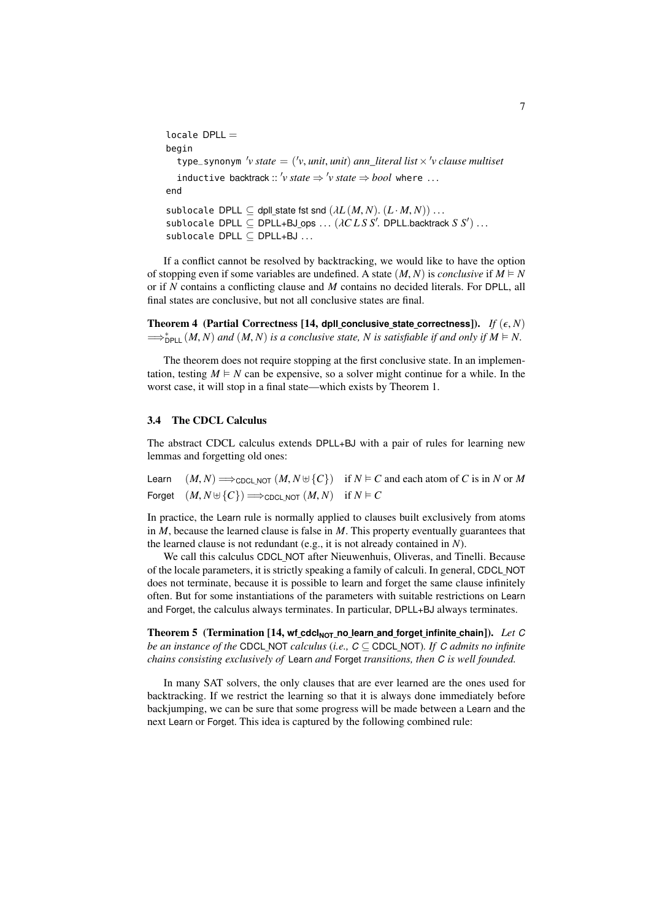locale  $DPLL =$ begin  $\tt type-synonym' \nu state = ('v, unit, unit) \tann\_literal \tlist \times' v \t clause \tmultiset$  $inductive$  backtrack::  $\prime v$  *state*  $\Rightarrow \prime v$  *state*  $\Rightarrow$  *bool* where ... end sublocale DPLL  $\subseteq$  dpll\_state fst snd  $(\lambda L(M, N), (L \cdot M, N))$ ...  $\mathsf{sublocale}\ \mathsf{DPLL} \subseteq \mathsf{DPLL+BJ\_ops}\ \ldots\ (\lambdaCLS\ S'.\ \mathsf{DPLL}.\mathsf{backtrack}\ S\ S')\ \ldots\$ sublocale DPLL ⊂ DPLL+BJ ...

If a conflict cannot be resolved by backtracking, we would like to have the option of stopping even if some variables are undefined. A state  $(M, N)$  is *conclusive* if  $M \models N$ or if *N* contains a conflicting clause and *M* contains no decided literals. For DPLL, all final states are conclusive, but not all conclusive states are final.

Theorem 4 (Partial Correctness [\[14,](#page-16-7) dpll\_conclusive\_state\_correctness]). *If*  $(\epsilon, N)$  $\Longrightarrow_{\text{DPLL}}^{*}(M, N)$  *and*  $(M, N)$  *is a conclusive state, N is satisfiable if and only if*  $M \models N$ .

The theorem does not require stopping at the first conclusive state. In an implementation, testing  $M \models N$  can be expensive, so a solver might continue for a while. In the worst case, it will stop in a final state—which exists by Theorem [1.](#page-4-0)

### 3.4 The CDCL Calculus

The abstract CDCL calculus extends DPLL+BJ with a pair of rules for learning new lemmas and forgetting old ones:

Learn  $(M, N) \implies_{CDCLNOT} (M, N \cup \{C\})$  if  $N \models C$  and each atom of *C* is in *N* or *M* Forget  $(M, N \cup \{C\}) \Longrightarrow_{\text{CDCL-NOT}} (M, N)$  if  $N \models C$ 

In practice, the Learn rule is normally applied to clauses built exclusively from atoms in *M*, because the learned clause is false in *M*. This property eventually guarantees that the learned clause is not redundant (e.g., it is not already contained in *N*).

We call this calculus CDCL NOT after Nieuwenhuis, Oliveras, and Tinelli. Because of the locale parameters, it is strictly speaking a family of calculi. In general, CDCL\_NOT does not terminate, because it is possible to learn and forget the same clause infinitely often. But for some instantiations of the parameters with suitable restrictions on Learn and Forget, the calculus always terminates. In particular, DPLL+BJ always terminates.

Theorem 5 (Termination [\[14,](#page-16-7) wf cdcl<sub>NOT</sub> no learn and forget infinite chain]). Let C *be an instance of the* CDCL\_NOT *calculus* (*i.e., C* ⊆ CDCL\_NOT )*. If C admits no infinite chains consisting exclusively of* Learn *and* Forget *transitions, then C is well founded.*

In many SAT solvers, the only clauses that are ever learned are the ones used for backtracking. If we restrict the learning so that it is always done immediately before backjumping, we can be sure that some progress will be made between a Learn and the next Learn or Forget. This idea is captured by the following combined rule: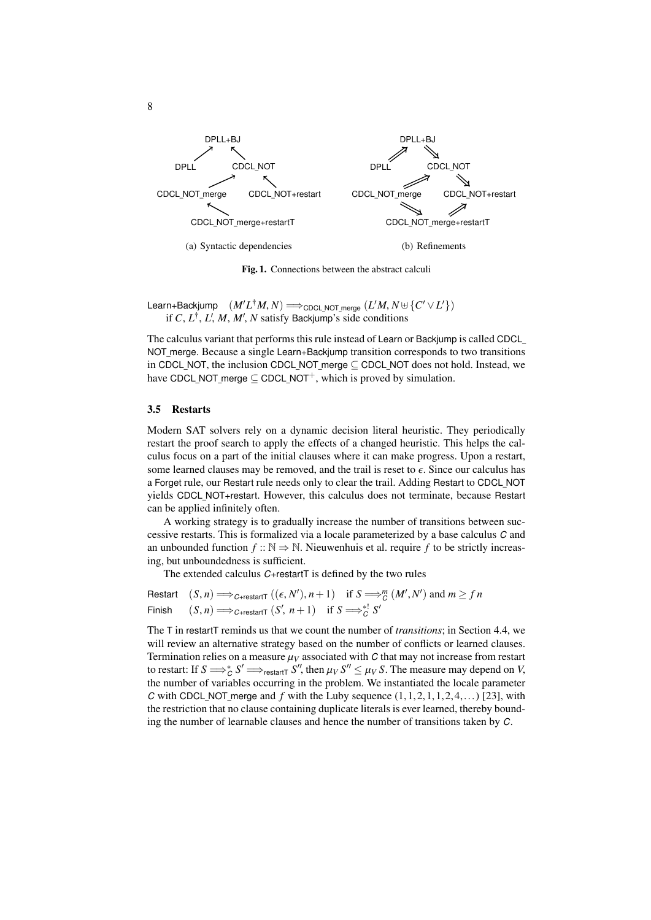<span id="page-7-0"></span>

<span id="page-7-3"></span><span id="page-7-1"></span>Fig. 1. Connections between the abstract calculi

Learn+Backjump  $(M'L^{\dagger}M, N) \implies$  CDCL\_NOT\_merge  $(L'M, N \oplus \{C' \vee L'\})$ <br>
if  $C \cdot L^{\dagger} \cdot L' \cdot M \cdot M' \cdot N$  satisfy Backjump's side conditions if  $C, L^{\dagger}, L, M, M', N$  satisfy Backjump's side conditions

The calculus variant that performs this rule instead of Learn or Backjump is called CDCL\_ NOT\_merge. Because a single Learn+Backjump transition corresponds to two transitions in CDCL NOT, the inclusion CDCL NOT merge  $\subseteq$  CDCL NOT does not hold. Instead, we have CDCL\_NOT\_merge  $\subseteq$  CDCL\_NOT<sup>+</sup>, which is proved by simulation.

### <span id="page-7-2"></span>3.5 Restarts

Modern SAT solvers rely on a dynamic decision literal heuristic. They periodically restart the proof search to apply the effects of a changed heuristic. This helps the calculus focus on a part of the initial clauses where it can make progress. Upon a restart, some learned clauses may be removed, and the trail is reset to  $\epsilon$ . Since our calculus has a Forget rule, our Restart rule needs only to clear the trail. Adding Restart to CDCL\_NOT yields CDCL\_NOT+restart. However, this calculus does not terminate, because Restart can be applied infinitely often.

A working strategy is to gradually increase the number of transitions between successive restarts. This is formalized via a locale parameterized by a base calculus *C* and an unbounded function  $f : \mathbb{N} \to \mathbb{N}$ . Nieuwenhuis et al. require f to be strictly increasing, but unboundedness is sufficient.

The extended calculus *C*+restartT is defined by the two rules

$$
\begin{array}{ll}\n\text{Restart} & (S, n) \Longrightarrow_{C+\text{restart}} \left( (\epsilon, N'), n+1 \right) \quad \text{if } S \Longrightarrow_C^n (M', N') \text{ and } m \geq f \, n \\
\text{Finish} & (S, n) \Longrightarrow_{C+\text{restart}} \left( S', n+1 \right) \quad \text{if } S \Longrightarrow_C^{*!} S' \\
\end{array}
$$

The T in restartT reminds us that we count the number of *transitions*; in Section [4.4,](#page-11-0) we will review an alternative strategy based on the number of conflicts or learned clauses. Termination relies on a measure  $\mu_V$  associated with  $C$  that may not increase from restart to restart: If  $S \longrightarrow_{c}^{*} S' \longrightarrow_{\text{restart}} S''$ , then  $\mu_{V} S'' \leq \mu_{V} S$ . The measure may depend on *V*, then pumper of variables occurring in the problem. We instantiated the locale parameter the number of variables occurring in the problem. We instantiated the locale parameter *C* with CDCL\_NOT\_merge and  $f$  with the Luby sequence  $(1,1,2,1,1,2,4,...)$  [\[23\]](#page-16-11), with the restriction that no clause containing duplicate literals is ever learned, thereby bounding the number of learnable clauses and hence the number of transitions taken by *C*.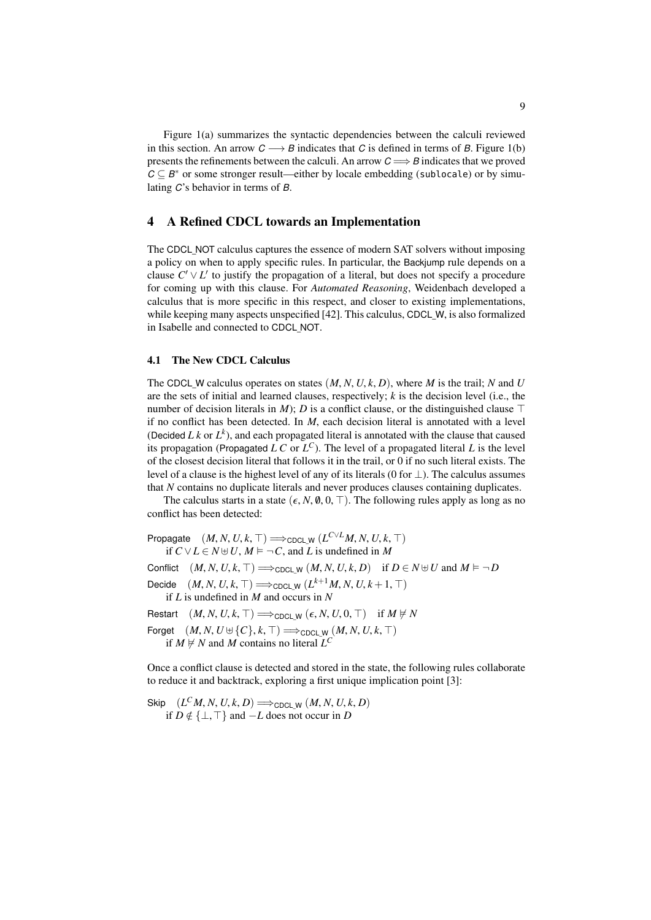Figure [1\(a\)](#page-7-0) summarizes the syntactic dependencies between the calculi reviewed in this section. An arrow  $C \longrightarrow B$  indicates that *C* is defined in terms of *B*. Figure [1\(b\)](#page-7-1) presents the refinements between the calculi. An arrow  $C \Longrightarrow B$  indicates that we proved  $C \subseteq B^*$  or some stronger result—either by locale embedding (sublocale) or by simulating *C*'s behavior in terms of *B*.

# <span id="page-8-0"></span>4 A Refined CDCL towards an Implementation

The CDCL\_NOT calculus captures the essence of modern SAT solvers without imposing a policy on when to apply specific rules. In particular, the Backjump rule depends on a clause  $C' \vee L'$  to justify the propagation of a literal, but does not specify a procedure for coming up with this clause. For *Automated Reasoning*, Weidenbach developed a calculus that is more specific in this respect, and closer to existing implementations, while keeping many aspects unspecified [\[42\]](#page-17-1). This calculus, CDCL\_W, is also formalized in Isabelle and connected to CDCL NOT.

#### 4.1 The New CDCL Calculus

The CDCL W calculus operates on states  $(M, N, U, k, D)$ , where *M* is the trail; *N* and *U* are the sets of initial and learned clauses, respectively; *k* is the decision level (i.e., the number of decision literals in *M*); *D* is a conflict clause, or the distinguished clause  $\top$ if no conflict has been detected. In *<sup>M</sup>*, each decision literal is annotated with a level (Decided  $L k$  or  $L^k$ ), and each propagated literal is annotated with the clause that caused its propagation (Propagated *L C* or *L <sup>C</sup>*). The level of a propagated literal *L* is the level of the closest decision literal that follows it in the trail, or 0 if no such literal exists. The level of a clause is the highest level of any of its literals (0 for  $\perp$ ). The calculus assumes that *N* contains no duplicate literals and never produces clauses containing duplicates.

The calculus starts in a state  $(\epsilon, N, \emptyset, 0, \top)$ . The following rules apply as long as no conflict has been detected:

Propagate  $(M, N, U, k, \top) \implies_{\text{CDCL\_W}} (L^{C \vee L} M, N, U, k, \top)$ <br>if  $C \vee I \in N + I I$ ,  $M \models \neg C$  and *I* is undefined in *M* if  $C \vee L \in N \oplus U$ ,  $M \vDash \neg C$ , and *L* is undefined in *M* 

Conflict  $(M, N, U, k, \top) \Longrightarrow_{\text{CDCL\_W}} (M, N, U, k, D)$  if  $D \in N \oplus U$  and  $M \models \neg D$ 

Decide  $(M, N, U, k, \top) \Longrightarrow_{\text{CDCL\_W}} (L^{k+1}M, N, U, k+1, \top)$ <br>if *I* is undefined in *M* and occurs in *N* if *L* is undefined in *M* and occurs in *N*

Restart  $(M, N, U, k, \top) \Longrightarrow_{\text{CDCL\_W}} (\epsilon, N, U, 0, \top)$  if  $M \neq N$ 

Forget  $(M, N, U \oplus \{C\}, k, \top) \Longrightarrow_{\text{CDCL\_W}} (M, N, U, k, \top)$ <br>if  $M \not\models N$  and M contains no literal  $I^C$ if  $M \not\models N$  and  $M$  contains no literal  $L^C$ 

Once a conflict clause is detected and stored in the state, the following rules collaborate to reduce it and backtrack, exploring a first unique implication point [\[3\]](#page-15-2):

$$
\begin{aligned} \text{skip} \quad (L^C M, N, U, k, D) &\Longrightarrow_{\text{CDCL\_W}} (M, N, U, k, D) \\ \text{if } D \notin \{\bot, \top\} \text{ and } -L \text{ does not occur in } D \end{aligned}
$$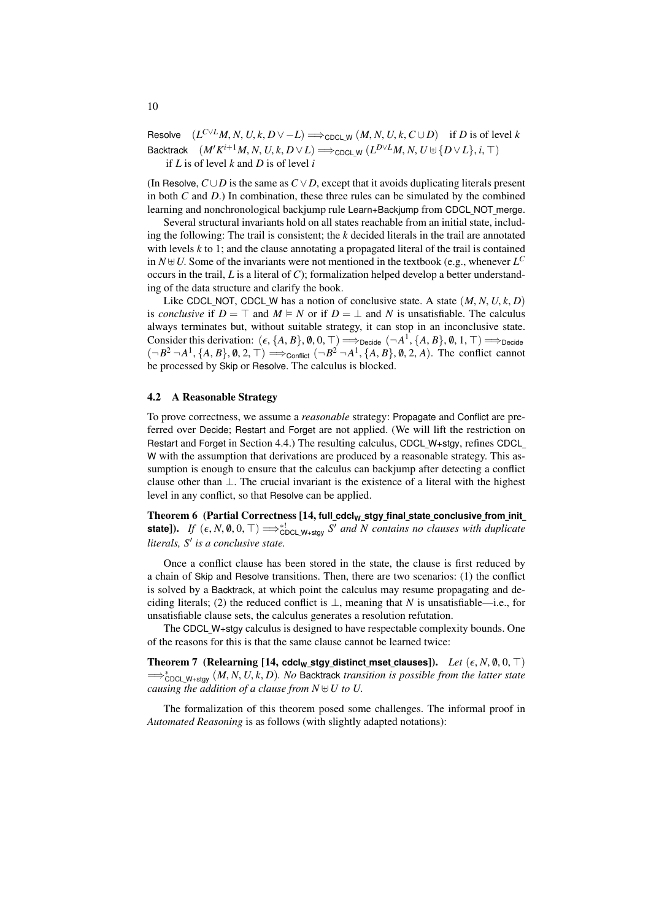Resolve (*L*  $C \vee L M$ , *N*, *U*, *k*,  $D \vee -L$ )  $\Longrightarrow$  CDCL\_W  $(M, N, U, k, C \cup D)$  if *D* is of level *k* Backtrack  $(M'K^{i+1}M, N, U, k, D \vee L) \implies_{\text{CDCL\_W}} (L^{D \vee L}M, N, U \uplus \{D \vee L\}, i, \top)$ <br>if *I* is of level *k* and *D* is of level *i* if *L* is of level *k* and *D* is of level *i*

(In Resolve, *C*∪*D* is the same as *C*∨*D*, except that it avoids duplicating literals present in both *C* and *D*.) In combination, these three rules can be simulated by the combined learning and nonchronological backjump rule Learn+Backjump from CDCL\_NOT\_merge.

Several structural invariants hold on all states reachable from an initial state, including the following: The trail is consistent; the *k* decided literals in the trail are annotated with levels  $k$  to 1; and the clause annotating a propagated literal of the trail is contained in  $N \oplus U$ . Some of the invariants were not mentioned in the textbook (e.g., whenever  $L^C$  occurs in the trail *L* is a literal of *C*); formalization helped develop a better understand. occurs in the trail, *L* is a literal of *C*); formalization helped develop a better understanding of the data structure and clarify the book.

Like CDCL\_NOT, CDCL\_W has a notion of conclusive state. A state  $(M, N, U, k, D)$ is *conclusive* if  $D = \top$  and  $M \models N$  or if  $D = \bot$  and N is unsatisfiable. The calculus always terminates but, without suitable strategy, it can stop in an inconclusive state. Consider this derivation:  $(\epsilon, \{A, B\}, \emptyset, 0, \top) \implies_{\text{Decide}} (\neg A^1, \{A, B\}, \emptyset, 1, \top) \implies_{\text{Decide}} (\neg B^2 \neg A^1, \{A, B\}, \emptyset, 1, \top) \implies_{\text{Decide}} (\neg B^2 \neg A^1, \{A, B\}, \emptyset, 1, \top)$  $(\neg B^2 \neg A^1, \{A, B\}, \emptyset, 2, \top) \Longrightarrow_{\text{Conflict}} (\neg B^2 \neg A^1, \{A, B\}, \emptyset, 2, A)$ . The conflict cannot be processed by Skip or Resolve. The calculus is blocked.

#### 4.2 A Reasonable Strategy

To prove correctness, we assume a *reasonable* strategy: Propagate and Conflict are preferred over Decide; Restart and Forget are not applied. (We will lift the restriction on Restart and Forget in Section [4.4.](#page-11-0)) The resulting calculus, CDCL\_W+stgy, refines CDCL\_ W with the assumption that derivations are produced by a reasonable strategy. This assumption is enough to ensure that the calculus can backjump after detecting a conflict clause other than  $\bot$ . The crucial invariant is the existence of a literal with the highest level in any conflict, so that Resolve can be applied.

Theorem 6 (Partial Correctness [\[14,](#page-16-7) **full\_cdcl <sup>W</sup>\_stgy\_ final\_ state\_ conclusive\_ from\_ init\_ state]).** *If*  $(\epsilon, N, \emptyset, 0, \top) \Longrightarrow_{\text{CDCL-W-stgy}}^{\text{el}} S'$  *and N contains no clauses with duplicate*<br>*literals*  $S'$  *is a conclusive state literals, S*<sup>0</sup> *is a conclusive state.*

Once a conflict clause has been stored in the state, the clause is first reduced by a chain of Skip and Resolve transitions. Then, there are two scenarios: (1) the conflict is solved by a Backtrack, at which point the calculus may resume propagating and deciding literals; (2) the reduced conflict is  $\perp$ , meaning that *N* is unsatisfiable—i.e., for unsatisfiable clause sets, the calculus generates a resolution refutation.

The CDCL\_W+stgy calculus is designed to have respectable complexity bounds. One of the reasons for this is that the same clause cannot be learned twice:

<span id="page-9-0"></span>Theorem 7 (Relearning [\[14,](#page-16-7) cdcl<sub>W\_</sub>stgy\_distinct\_mset\_clauses]). *Let*  $(\epsilon, N, \emptyset, 0, \top)$ =⇒<sup>∗</sup> CDCL\_W+stgy (*M*, *<sup>N</sup>*, *<sup>U</sup>*, *<sup>k</sup>*, *<sup>D</sup>*)*. No* Backtrack *transition is possible from the latter state causing the addition of a clause from*  $N \oplus U$  *to*  $U$ .

The formalization of this theorem posed some challenges. The informal proof in *Automated Reasoning* is as follows (with slightly adapted notations):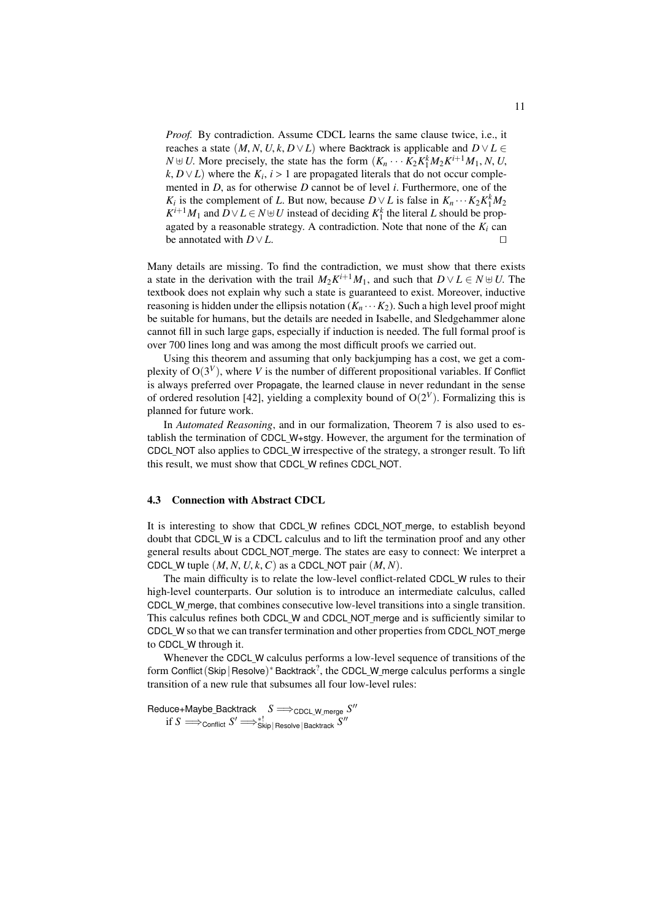*Proof.* By contradiction. Assume CDCL learns the same clause twice, i.e., it reaches a state  $(M, N, U, k, D \vee L)$  where Backtrack is applicable and  $D \vee L \in$  $N \oplus U$ . More precisely, the state has the form  $(K_n \cdots K_2 K_1^k M_2 K^{i+1} M_1, N, U$ ,  $k \cdot D \vee I$  ) where the  $K_i$ ,  $i > 1$  are propagated literals that do not occur comple*k*, *D* ∨ *L*) where the *K*<sub>*i*</sub>, *i* > 1 are propagated literals that do not occur complemented in *D* as for otherwise *D* cannot be of level *i*. Furthermore, one of the mented in *D*, as for otherwise *D* cannot be of level *i*. Furthermore, one of the *K<sub>i</sub>* is the complement of *L*. But now, because  $D \vee L$  is false in  $K_n \cdots K_2 K_1^k M_2$  $K^{i+1}M_1$  and  $D \vee L \in N \oplus U$  instead of deciding  $K_1^k$  the literal *L* should be propagated by a reasonable strategy. A contradiction. Note that none of the  $K_i$  can be annotated with  $D ∨ L$ .  $□$ 

Many details are missing. To find the contradiction, we must show that there exists a state in the derivation with the trail  $M_2 K^{i+1} M_1$ , and such that  $D \vee L \in N \oplus U$ . The textbook does not explain why such a state is quaranteed to exist. Moreover, inductive textbook does not explain why such a state is guaranteed to exist. Moreover, inductive reasoning is hidden under the ellipsis notation  $(K_n \cdots K_2)$ . Such a high level proof might be suitable for humans, but the details are needed in Isabelle, and Sledgehammer alone cannot fill in such large gaps, especially if induction is needed. The full formal proof is over 700 lines long and was among the most difficult proofs we carried out.

Using this theorem and assuming that only backjumping has a cost, we get a complexity of  $O(3^V)$ , where *V* is the number of different propositional variables. If Conflict is always preferred over Propagate, the learned clause in never redundant in the sense of ordered resolution [\[42\]](#page-17-1), yielding a complexity bound of  $O(2^V)$ . Formalizing this is planned for future work.

In *Automated Reasoning*, and in our formalization, Theorem [7](#page-9-0) is also used to establish the termination of CDCL W+stgy. However, the argument for the termination of CDCL\_NOT also applies to CDCL\_W irrespective of the strategy, a stronger result. To lift this result, we must show that CDCL\_W refines CDCL\_NOT.

### 4.3 Connection with Abstract CDCL

It is interesting to show that CDCL W refines CDCL NOT merge, to establish beyond doubt that CDCL\_W is a CDCL calculus and to lift the termination proof and any other general results about CDCL NOT merge. The states are easy to connect: We interpret a CDCL\_W tuple  $(M, N, U, k, C)$  as a CDCL\_NOT pair  $(M, N)$ .

The main difficulty is to relate the low-level conflict-related CDCL\_W rules to their high-level counterparts. Our solution is to introduce an intermediate calculus, called CDCL W merge, that combines consecutive low-level transitions into a single transition. This calculus refines both CDCL W and CDCL NOT merge and is sufficiently similar to CDCL W so that we can transfer termination and other properties from CDCL NOT merge to CDCL\_W through it.

Whenever the CDCL\_W calculus performs a low-level sequence of transitions of the form Conflict (Skip | Resolve)\* Backtrack<sup>?</sup>, the CDCL\_W\_merge calculus performs a single transition of a new rule that subsumes all four low-level rules:

Reduce+Maybe\_Backtrack  $S \implies_{\mathsf{CDCL\_W\_merge}} S''$  $\mathrm{if}\ S \Longrightarrow_{\mathsf{Conflict}} S' \Longrightarrow_{\mathsf{Skip}|\mathsf{Resolve}\ |\mathsf{Backtrack}} \bar{S}'$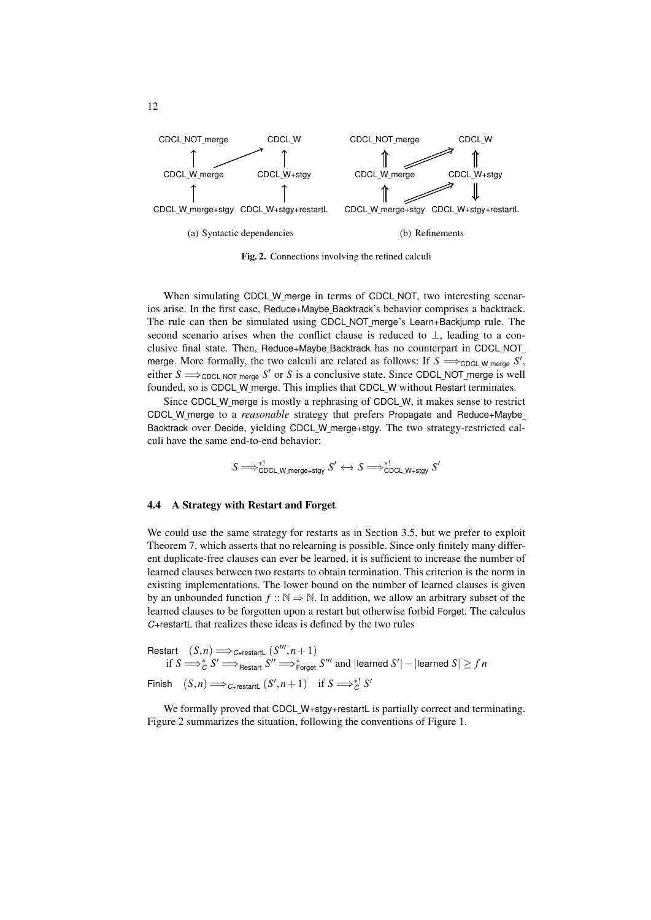

<span id="page-11-1"></span>Fig. 2. Connections involving the refined calculi

When simulating CDCL\_W\_merge in terms of CDCL\_NOT, two interesting scenarios arise. In the first case, Reduce+Maybe\_Backtrack 's behavior comprises a backtrack. The rule can then be simulated using CDCL NOT merge's Learn+Backjump rule. The second scenario arises when the conflict clause is reduced to ⊥, leading to a conclusive final state. Then, Reduce+Maybe\_Backtrack has no counterpart in CDCL\_NOT\_ merge. More formally, the two calculi are related as follows: If  $S \rightleftharpoons_{\text{CDCL} \text{W\_merge}} S'$ , either  $S \rightleftharpoons_{\text{CDCLNOT\_merge}} S'$  or *S* is a conclusive state. Since CDCL\_NOT\_merge is well founded, so is CDCL\_W\_merge. This implies that CDCL\_W without Restart terminates.

Since CDCL W merge is mostly a rephrasing of CDCL W, it makes sense to restrict CDCL\_W\_ merge to a *reasonable* strategy that prefers Propagate and Reduce+Maybe\_ Backtrack over Decide, yielding CDCL W merge+stgy. The two strategy-restricted calculi have the same end-to-end behavior:

$$
S \Longrightarrow^{\ast !}_{\mathsf{CDCL\_W\_merge\text{-}stgy}} S' \longleftrightarrow S \Longrightarrow^{\ast !}_{\mathsf{CDCL\_W\text{-}stgy}} S'
$$

#### <span id="page-11-0"></span>4.4 A Strategy with Restart and Forget

We could use the same strategy for restarts as in Section [3.5,](#page-7-2) but we prefer to exploit Theorem [7,](#page-9-0) which asserts that no relearning is possible. Since only finitely many different duplicate-free clauses can ever be learned, it is sufficient to increase the number of learned clauses between two restarts to obtain termination. This criterion is the norm in existing implementations. The lower bound on the number of learned clauses is given by an unbounded function  $f$  ::  $\mathbb{N} \Rightarrow \mathbb{N}$ . In addition, we allow an arbitrary subset of the learned clauses to be forgotten upon a restart but otherwise forbid Forget. The calculus *C*+restartL that realizes these ideas is defined by the two rules

Testart 
$$
(S,n) \Longrightarrow_{C+\text{restartL}} (S'', n+1)
$$

\nif  $S \Longrightarrow_C^* S' \Longrightarrow_{\text{Res1art}} S'' \Longrightarrow_{\text{Forget}}^* S''$  and  $|\text{learned } S'| - |\text{learned } S| \geq f n$ 

\nFinally,  $(S,n) \Longrightarrow_{C+\text{restartL}} (S', n+1)$  if  $S \Longrightarrow_C^* S'$ 

We formally proved that CDCL\_W+stgy+restartL is partially correct and terminating. Figure [2](#page-11-1) summarizes the situation, following the conventions of Figure [1.](#page-7-3)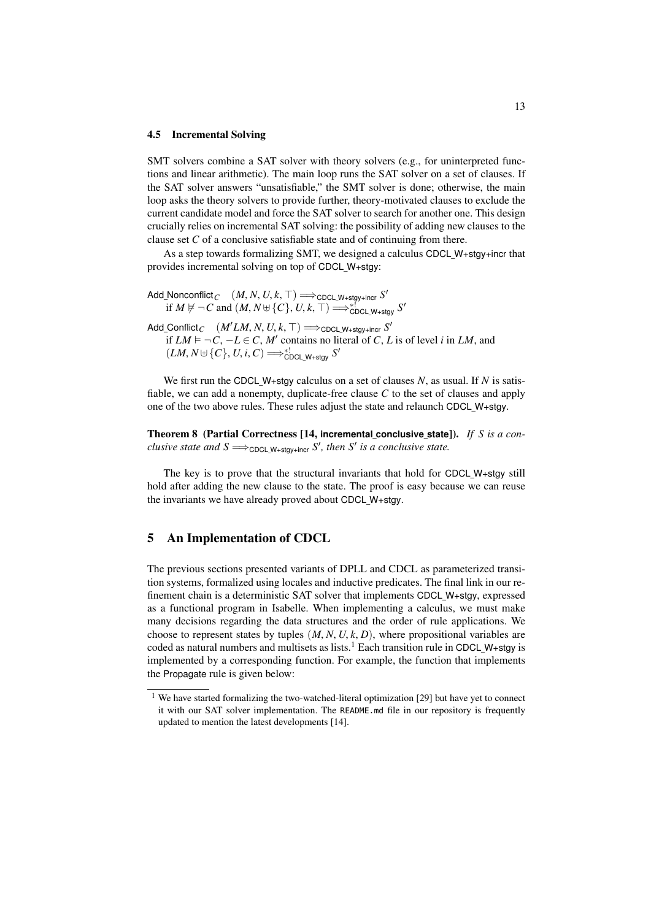#### 4.5 Incremental Solving

SMT solvers combine a SAT solver with theory solvers (e.g., for uninterpreted functions and linear arithmetic). The main loop runs the SAT solver on a set of clauses. If the SAT solver answers "unsatisfiable," the SMT solver is done; otherwise, the main loop asks the theory solvers to provide further, theory-motivated clauses to exclude the current candidate model and force the SAT solver to search for another one. This design crucially relies on incremental SAT solving: the possibility of adding new clauses to the clause set *C* of a conclusive satisfiable state and of continuing from there.

As a step towards formalizing SMT, we designed a calculus CDCL\_W+stgy+incr that provides incremental solving on top of CDCL\_W+stgy :

Add\_Nonconflict<sub>C</sub>  $(M, N, U, k, \top) \Longrightarrow$  CDCL\_W+stgy+incr S'<br>
if  $M \nvDash \neg C$  and  $(M, N \vDash \{C\} \cup U, k, \top) \longrightarrow^*$ if  $M \not\models \neg C$  and  $(M, N \cup \{C\}, U, k, \top) \Longrightarrow_{\text{CDCL\_W-stgy}}^{\mathcal{N}} S'$ Add\_Conflict  $C$   $(M'LM, N, U, k, \top) \Longrightarrow_{\text{CDCL\_W-stgy+incr}} S'$ <br> *if*  $I M \models \neg C \neg I \in C M'$  contains no literal of C I if  $LM ⊨ ¬C, -L ∈ C, M'$  contains no literal of *C*, *L* is of level *i* in *LM*, and  $(LM, N \oplus \{C\}, U, i, C) \Longrightarrow_{\text{CDCL\_W+stgy}}^{\ast!} S'$ 

We first run the CDCL W+stgy calculus on a set of clauses *N*, as usual. If *N* is satisfiable, we can add a nonempty, duplicate-free clause *C* to the set of clauses and apply one of the two above rules. These rules adjust the state and relaunch CDCL\_W+stgy .

Theorem 8 (Partial Correctness [\[14,](#page-16-7) **incremental\_conclusive\_ state** ]). *If S is a conclusive state and*  $S \implies_{\text{CDCL\_W+stgy+incr}} S'$ , then  $S'$  is a conclusive state.

The key is to prove that the structural invariants that hold for CDCL\_W+stgy still hold after adding the new clause to the state. The proof is easy because we can reuse the invariants we have already proved about CDCL W+stgy.

# <span id="page-12-0"></span>5 An Implementation of CDCL

The previous sections presented variants of DPLL and CDCL as parameterized transition systems, formalized using locales and inductive predicates. The final link in our refinement chain is a deterministic SAT solver that implements CDCL\_W+stgy , expressed as a functional program in Isabelle. When implementing a calculus, we must make many decisions regarding the data structures and the order of rule applications. We choose to represent states by tuples  $(M, N, U, k, D)$ , where propositional variables are coded as natural numbers and multisets as lists.<sup>[1](#page-12-1)</sup> Each transition rule in CDCL\_W+stgy is implemented by a corresponding function. For example, the function that implements the Propagate rule is given below:

<span id="page-12-1"></span><sup>&</sup>lt;sup>1</sup> We have started formalizing the two-watched-literal optimization [\[29\]](#page-16-3) but have yet to connect it with our SAT solver implementation. The README.md file in our repository is frequently updated to mention the latest developments [\[14\]](#page-16-7).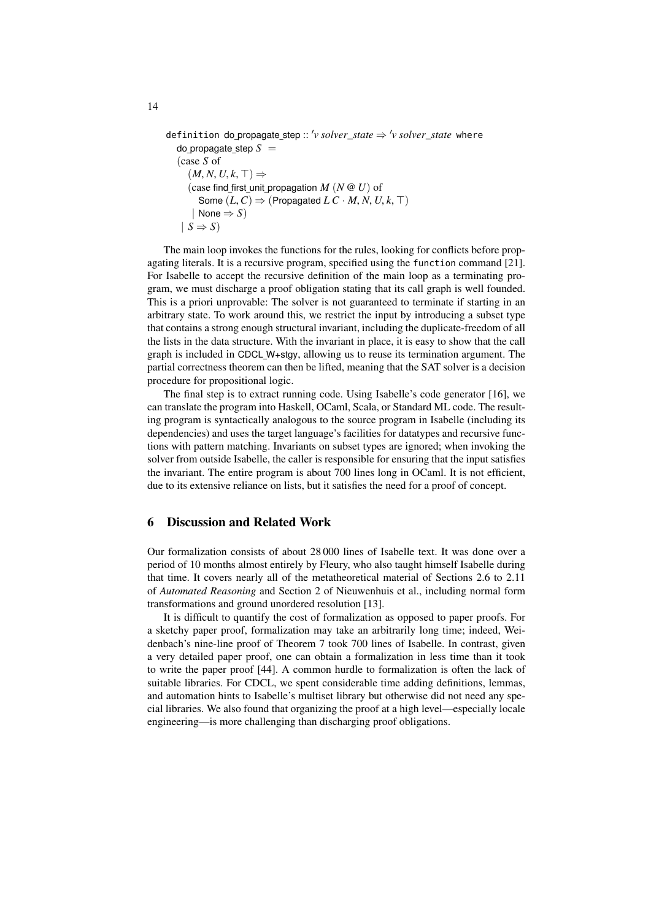```
definition do_propagate_step::'v solver_state ⇒'v solver_state where
  do_propagate_step S =(case S of
     (M, N, U, k, \top) \Rightarrow(case find first unit propagation M (N \& U) of
        Some (L, C) \Rightarrow (Propagated L C \cdot M, N, U, k, \top)
       | None \Rightarrow S)
   | S \Rightarrow S
```
The main loop invokes the functions for the rules, looking for conflicts before propagating literals. It is a recursive program, specified using the function command [\[21\]](#page-16-12). For Isabelle to accept the recursive definition of the main loop as a terminating program, we must discharge a proof obligation stating that its call graph is well founded. This is a priori unprovable: The solver is not guaranteed to terminate if starting in an arbitrary state. To work around this, we restrict the input by introducing a subset type that contains a strong enough structural invariant, including the duplicate-freedom of all the lists in the data structure. With the invariant in place, it is easy to show that the call graph is included in CDCL W+stgy, allowing us to reuse its termination argument. The partial correctness theorem can then be lifted, meaning that the SAT solver is a decision procedure for propositional logic.

The final step is to extract running code. Using Isabelle's code generator [\[16\]](#page-16-13), we can translate the program into Haskell, OCaml, Scala, or Standard ML code. The resulting program is syntactically analogous to the source program in Isabelle (including its dependencies) and uses the target language's facilities for datatypes and recursive functions with pattern matching. Invariants on subset types are ignored; when invoking the solver from outside Isabelle, the caller is responsible for ensuring that the input satisfies the invariant. The entire program is about 700 lines long in OCaml. It is not efficient, due to its extensive reliance on lists, but it satisfies the need for a proof of concept.

# <span id="page-13-0"></span>6 Discussion and Related Work

Our formalization consists of about 28 000 lines of Isabelle text. It was done over a period of 10 months almost entirely by Fleury, who also taught himself Isabelle during that time. It covers nearly all of the metatheoretical material of Sections 2.6 to 2.11 of *Automated Reasoning* and Section 2 of Nieuwenhuis et al., including normal form transformations and ground unordered resolution [\[13\]](#page-16-14).

It is difficult to quantify the cost of formalization as opposed to paper proofs. For a sketchy paper proof, formalization may take an arbitrarily long time; indeed, Weidenbach's nine-line proof of Theorem [7](#page-9-0) took 700 lines of Isabelle. In contrast, given a very detailed paper proof, one can obtain a formalization in less time than it took to write the paper proof [\[44\]](#page-17-5). A common hurdle to formalization is often the lack of suitable libraries. For CDCL, we spent considerable time adding definitions, lemmas, and automation hints to Isabelle's multiset library but otherwise did not need any special libraries. We also found that organizing the proof at a high level—especially locale engineering—is more challenging than discharging proof obligations.

14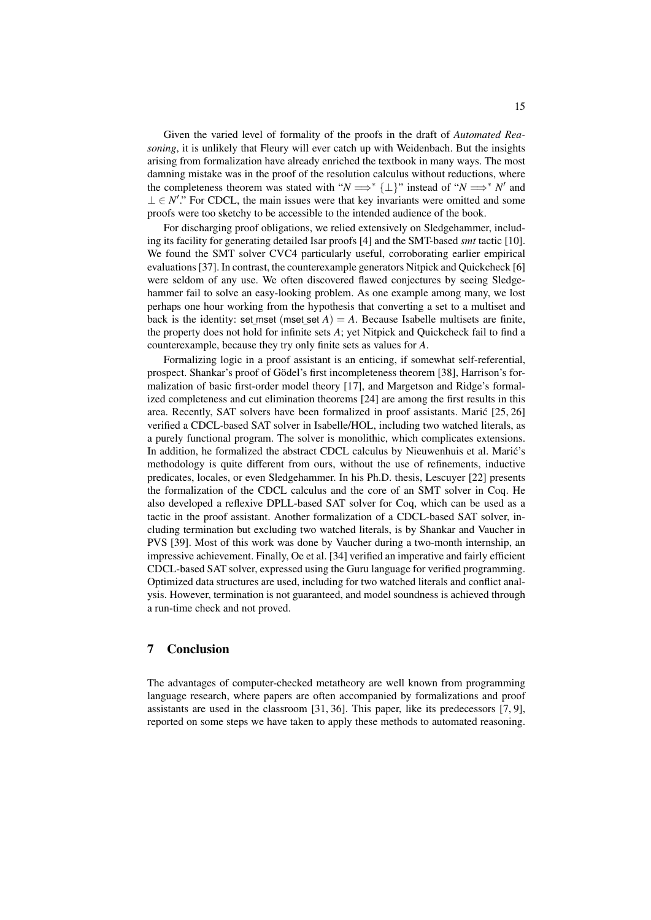Given the varied level of formality of the proofs in the draft of *Automated Reasoning*, it is unlikely that Fleury will ever catch up with Weidenbach. But the insights arising from formalization have already enriched the textbook in many ways. The most damning mistake was in the proof of the resolution calculus without reductions, where the completeness theorem was stated with " $N \implies^* {\{\perp\}}$ " instead of " $N \implies^* N'$  and  $\perp \in N'$ ." For CDCL, the main issues were that key invariants were omitted and some proofs were too sketchy to be accessible to the intended audience of the book.

For discharging proof obligations, we relied extensively on Sledgehammer, including its facility for generating detailed Isar proofs [\[4\]](#page-15-6) and the SMT-based *smt* tactic [\[10\]](#page-15-7). We found the SMT solver CVC4 particularly useful, corroborating earlier empirical evaluations [\[37\]](#page-17-6). In contrast, the counterexample generators Nitpick and Quickcheck [\[6\]](#page-15-8) were seldom of any use. We often discovered flawed conjectures by seeing Sledgehammer fail to solve an easy-looking problem. As one example among many, we lost perhaps one hour working from the hypothesis that converting a set to a multiset and back is the identity: set mset (mset set  $A$ ) =  $A$ . Because Isabelle multisets are finite, the property does not hold for infinite sets *A*; yet Nitpick and Quickcheck fail to find a counterexample, because they try only finite sets as values for *A*.

Formalizing logic in a proof assistant is an enticing, if somewhat self-referential, prospect. Shankar's proof of Gödel's first incompleteness theorem [\[38\]](#page-17-7), Harrison's formalization of basic first-order model theory [\[17\]](#page-16-15), and Margetson and Ridge's formalized completeness and cut elimination theorems [\[24\]](#page-16-16) are among the first results in this area. Recently, SAT solvers have been formalized in proof assistants. Maric [\[25,](#page-16-17) [26\]](#page-16-18) ´ verified a CDCL-based SAT solver in Isabelle/HOL, including two watched literals, as a purely functional program. The solver is monolithic, which complicates extensions. In addition, he formalized the abstract CDCL calculus by Nieuwenhuis et al. Maric's ´ methodology is quite different from ours, without the use of refinements, inductive predicates, locales, or even Sledgehammer. In his Ph.D. thesis, Lescuyer [\[22\]](#page-16-19) presents the formalization of the CDCL calculus and the core of an SMT solver in Coq. He also developed a reflexive DPLL-based SAT solver for Coq, which can be used as a tactic in the proof assistant. Another formalization of a CDCL-based SAT solver, including termination but excluding two watched literals, is by Shankar and Vaucher in PVS [\[39\]](#page-17-8). Most of this work was done by Vaucher during a two-month internship, an impressive achievement. Finally, Oe et al. [\[34\]](#page-17-9) verified an imperative and fairly efficient CDCL-based SAT solver, expressed using the Guru language for verified programming. Optimized data structures are used, including for two watched literals and conflict analysis. However, termination is not guaranteed, and model soundness is achieved through a run-time check and not proved.

# 7 Conclusion

The advantages of computer-checked metatheory are well known from programming language research, where papers are often accompanied by formalizations and proof assistants are used in the classroom [\[31,](#page-16-20) [36\]](#page-17-10). This paper, like its predecessors [\[7,](#page-15-9) [9\]](#page-15-10), reported on some steps we have taken to apply these methods to automated reasoning.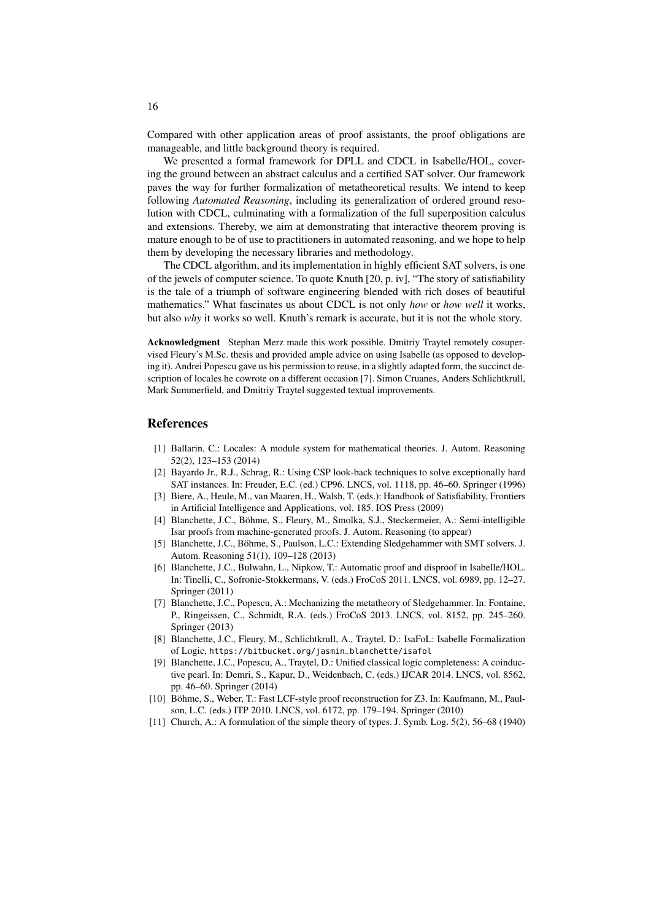Compared with other application areas of proof assistants, the proof obligations are manageable, and little background theory is required.

We presented a formal framework for DPLL and CDCL in Isabelle/HOL, covering the ground between an abstract calculus and a certified SAT solver. Our framework paves the way for further formalization of metatheoretical results. We intend to keep following *Automated Reasoning*, including its generalization of ordered ground resolution with CDCL, culminating with a formalization of the full superposition calculus and extensions. Thereby, we aim at demonstrating that interactive theorem proving is mature enough to be of use to practitioners in automated reasoning, and we hope to help them by developing the necessary libraries and methodology.

The CDCL algorithm, and its implementation in highly efficient SAT solvers, is one of the jewels of computer science. To quote Knuth [\[20,](#page-16-21) p. iv], "The story of satisfiability is the tale of a triumph of software engineering blended with rich doses of beautiful mathematics." What fascinates us about CDCL is not only *how* or *how well* it works, but also *why* it works so well. Knuth's remark is accurate, but it is not the whole story.

Acknowledgment Stephan Merz made this work possible. Dmitriy Traytel remotely cosupervised Fleury's M.Sc. thesis and provided ample advice on using Isabelle (as opposed to developing it). Andrei Popescu gave us his permission to reuse, in a slightly adapted form, the succinct description of locales he cowrote on a different occasion [\[7\]](#page-15-9). Simon Cruanes, Anders Schlichtkrull, Mark Summerfield, and Dmitriy Traytel suggested textual improvements.

# References

- <span id="page-15-3"></span>[1] Ballarin, C.: Locales: A module system for mathematical theories. J. Autom. Reasoning 52(2), 123–153 (2014)
- <span id="page-15-1"></span>[2] Bayardo Jr., R.J., Schrag, R.: Using CSP look-back techniques to solve exceptionally hard SAT instances. In: Freuder, E.C. (ed.) CP96. LNCS, vol. 1118, pp. 46–60. Springer (1996)
- <span id="page-15-2"></span>[3] Biere, A., Heule, M., van Maaren, H., Walsh, T. (eds.): Handbook of Satisfiability, Frontiers in Artificial Intelligence and Applications, vol. 185. IOS Press (2009)
- <span id="page-15-6"></span>[4] Blanchette, J.C., Böhme, S., Fleury, M., Smolka, S.J., Steckermeier, A.: Semi-intelligible Isar proofs from machine-generated proofs. J. Autom. Reasoning (to appear)
- <span id="page-15-5"></span>[5] Blanchette, J.C., Böhme, S., Paulson, L.C.: Extending Sledgehammer with SMT solvers. J. Autom. Reasoning 51(1), 109–128 (2013)
- <span id="page-15-8"></span>[6] Blanchette, J.C., Bulwahn, L., Nipkow, T.: Automatic proof and disproof in Isabelle/HOL. In: Tinelli, C., Sofronie-Stokkermans, V. (eds.) FroCoS 2011. LNCS, vol. 6989, pp. 12–27. Springer (2011)
- <span id="page-15-9"></span>[7] Blanchette, J.C., Popescu, A.: Mechanizing the metatheory of Sledgehammer. In: Fontaine, P., Ringeissen, C., Schmidt, R.A. (eds.) FroCoS 2013. LNCS, vol. 8152, pp. 245–260. Springer (2013)
- <span id="page-15-0"></span>[8] Blanchette, J.C., Fleury, M., Schlichtkrull, A., Traytel, D.: IsaFoL: Isabelle Formalization of Logic, [https://bitbucket.org/jasmin\\_blanchette/isafol](https://bitbucket.org/jasmin_blanchette/isafol)
- <span id="page-15-10"></span>[9] Blanchette, J.C., Popescu, A., Traytel, D.: Unified classical logic completeness: A coinductive pearl. In: Demri, S., Kapur, D., Weidenbach, C. (eds.) IJCAR 2014. LNCS, vol. 8562, pp. 46–60. Springer (2014)
- <span id="page-15-7"></span>[10] Böhme, S., Weber, T.: Fast LCF-style proof reconstruction for Z3. In: Kaufmann, M., Paulson, L.C. (eds.) ITP 2010. LNCS, vol. 6172, pp. 179–194. Springer (2010)
- <span id="page-15-4"></span>[11] Church, A.: A formulation of the simple theory of types. J. Symb. Log. 5(2), 56–68 (1940)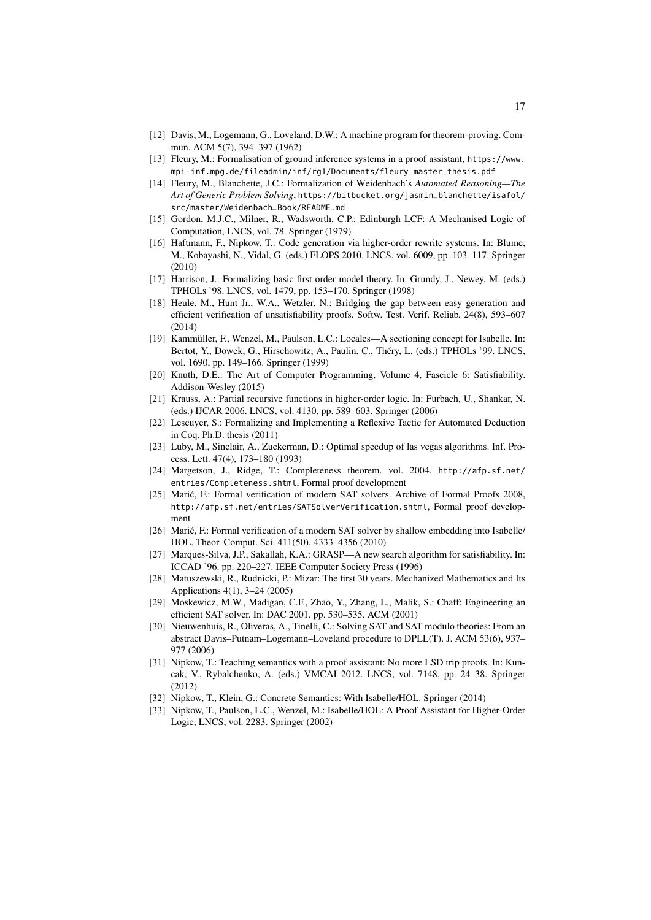- <span id="page-16-1"></span>[12] Davis, M., Logemann, G., Loveland, D.W.: A machine program for theorem-proving. Commun. ACM 5(7), 394–397 (1962)
- <span id="page-16-14"></span>[13] Fleury, M.: Formalisation of ground inference systems in a proof assistant, [https://www.](https://www.mpi-inf.mpg.de/fileadmin/inf/rg1/Documents/fleury_master_thesis.pdf) [mpi-inf.mpg.de/fileadmin/inf/rg1/Documents/fleury\\_master\\_thesis.pdf](https://www.mpi-inf.mpg.de/fileadmin/inf/rg1/Documents/fleury_master_thesis.pdf)
- <span id="page-16-7"></span>[14] Fleury, M., Blanchette, J.C.: Formalization of Weidenbach's *Automated Reasoning—The Art of Generic Problem Solving*, [https://bitbucket.org/jasmin\\_blanchette/isafol/](https://bitbucket.org/jasmin_blanchette/isafol/src/master/Weidenbach_Book/README.md) [src/master/Weidenbach\\_Book/README.md](https://bitbucket.org/jasmin_blanchette/isafol/src/master/Weidenbach_Book/README.md)
- <span id="page-16-10"></span>[15] Gordon, M.J.C., Milner, R., Wadsworth, C.P.: Edinburgh LCF: A Mechanised Logic of Computation, LNCS, vol. 78. Springer (1979)
- <span id="page-16-13"></span>[16] Haftmann, F., Nipkow, T.: Code generation via higher-order rewrite systems. In: Blume, M., Kobayashi, N., Vidal, G. (eds.) FLOPS 2010. LNCS, vol. 6009, pp. 103–117. Springer (2010)
- <span id="page-16-15"></span>[17] Harrison, J.: Formalizing basic first order model theory. In: Grundy, J., Newey, M. (eds.) TPHOLs '98. LNCS, vol. 1479, pp. 153–170. Springer (1998)
- <span id="page-16-6"></span>[18] Heule, M., Hunt Jr., W.A., Wetzler, N.: Bridging the gap between easy generation and efficient verification of unsatisfiability proofs. Softw. Test. Verif. Reliab. 24(8), 593–607 (2014)
- <span id="page-16-5"></span>[19] Kammüller, F., Wenzel, M., Paulson, L.C.: Locales—A sectioning concept for Isabelle. In: Bertot, Y., Dowek, G., Hirschowitz, A., Paulin, C., Théry, L. (eds.) TPHOLs '99. LNCS, vol. 1690, pp. 149–166. Springer (1999)
- <span id="page-16-21"></span>[20] Knuth, D.E.: The Art of Computer Programming, Volume 4, Fascicle 6: Satisfiability. Addison-Wesley (2015)
- <span id="page-16-12"></span>[21] Krauss, A.: Partial recursive functions in higher-order logic. In: Furbach, U., Shankar, N. (eds.) IJCAR 2006. LNCS, vol. 4130, pp. 589–603. Springer (2006)
- <span id="page-16-19"></span>[22] Lescuyer, S.: Formalizing and Implementing a Reflexive Tactic for Automated Deduction in Coq. Ph.D. thesis (2011)
- <span id="page-16-11"></span>[23] Luby, M., Sinclair, A., Zuckerman, D.: Optimal speedup of las vegas algorithms. Inf. Process. Lett. 47(4), 173–180 (1993)
- <span id="page-16-16"></span>[24] Margetson, J., Ridge, T.: Completeness theorem. vol. 2004. [http://afp.sf.net/](http://afp.sf.net/entries/Completeness.shtml) [entries/Completeness.shtml](http://afp.sf.net/entries/Completeness.shtml), Formal proof development
- <span id="page-16-17"></span>[25] Marić, F.: Formal verification of modern SAT solvers. Archive of Formal Proofs 2008, <http://afp.sf.net/entries/SATSolverVerification.shtml>, Formal proof development
- <span id="page-16-18"></span>[26] Marić, F.: Formal verification of a modern SAT solver by shallow embedding into Isabelle/ HOL. Theor. Comput. Sci. 411(50), 4333–4356 (2010)
- <span id="page-16-2"></span>[27] Marques-Silva, J.P., Sakallah, K.A.: GRASP—A new search algorithm for satisfiability. In: ICCAD '96. pp. 220–227. IEEE Computer Society Press (1996)
- <span id="page-16-4"></span>[28] Matuszewski, R., Rudnicki, P.: Mizar: The first 30 years. Mechanized Mathematics and Its Applications 4(1), 3–24 (2005)
- <span id="page-16-3"></span>[29] Moskewicz, M.W., Madigan, C.F., Zhao, Y., Zhang, L., Malik, S.: Chaff: Engineering an efficient SAT solver. In: DAC 2001. pp. 530–535. ACM (2001)
- <span id="page-16-0"></span>[30] Nieuwenhuis, R., Oliveras, A., Tinelli, C.: Solving SAT and SAT modulo theories: From an abstract Davis–Putnam–Logemann–Loveland procedure to DPLL(T). J. ACM 53(6), 937– 977 (2006)
- <span id="page-16-20"></span>[31] Nipkow, T.: Teaching semantics with a proof assistant: No more LSD trip proofs. In: Kuncak, V., Rybalchenko, A. (eds.) VMCAI 2012. LNCS, vol. 7148, pp. 24–38. Springer (2012)
- <span id="page-16-8"></span>[32] Nipkow, T., Klein, G.: Concrete Semantics: With Isabelle/HOL. Springer (2014)
- <span id="page-16-9"></span>[33] Nipkow, T., Paulson, L.C., Wenzel, M.: Isabelle/HOL: A Proof Assistant for Higher-Order Logic, LNCS, vol. 2283. Springer (2002)